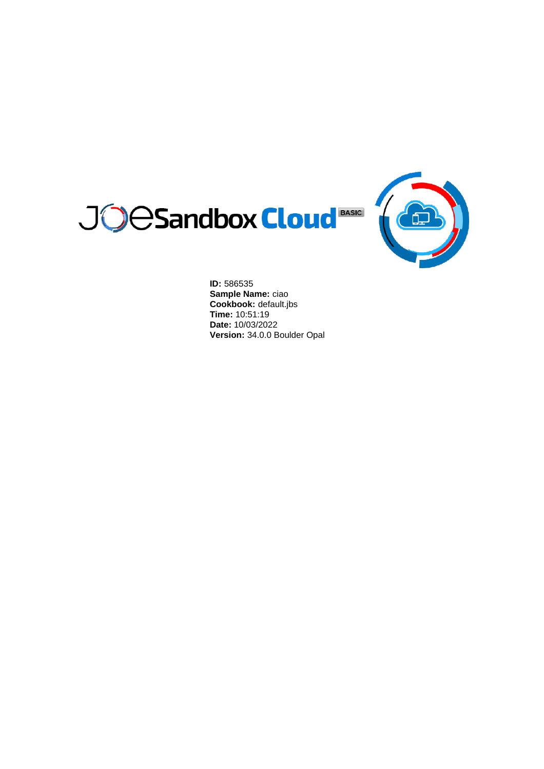



**ID:** 586535 **Sample Name:** ciao **Cookbook:** default.jbs **Time:** 10:51:19 **Date:** 10/03/2022 **Version:** 34.0.0 Boulder Opal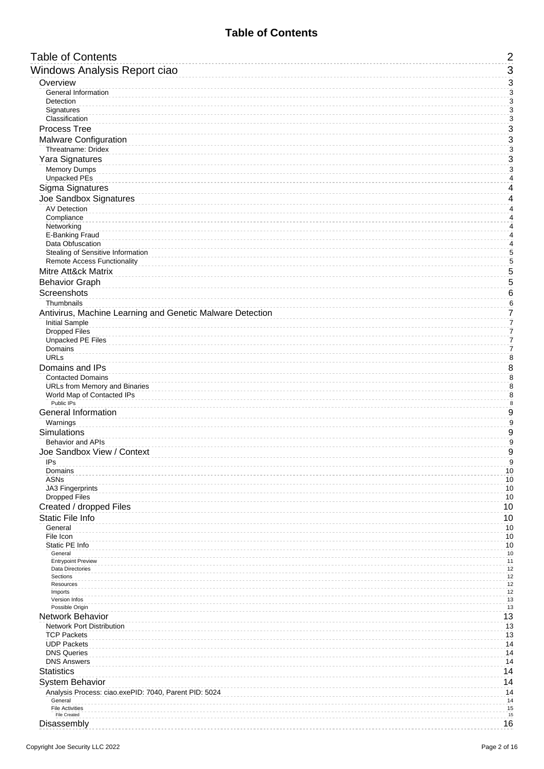## **Table of Contents**

<span id="page-1-0"></span>

| <b>Table of Contents</b>                                  | $\overline{c}$                              |
|-----------------------------------------------------------|---------------------------------------------|
| Windows Analysis Report ciao                              | 3                                           |
| Overview                                                  | $\mathsf 3$                                 |
| General Information                                       | $\overline{3}$                              |
| Detection                                                 | 3                                           |
| Signatures<br>Classification                              | 3<br>$\overline{3}$                         |
| Process Tree                                              | $\overline{3}$                              |
| Malware Configuration                                     | 3                                           |
| Threatname: Dridex                                        | $\overline{3}$                              |
| Yara Signatures                                           | $\overline{3}$                              |
| <b>Memory Dumps</b><br><b>Unpacked PEs</b>                | $\overline{\mathbf{3}}$<br>$\overline{4}$   |
| Sigma Signatures                                          | $\overline{\mathcal{L}}$                    |
| Joe Sandbox Signatures                                    | $\overline{\mathcal{L}}$                    |
| AV Detection                                              | $\overline{4}$                              |
| Compliance                                                | 4                                           |
| Networking<br>E-Banking Fraud                             | $\overline{\mathbf{r}}$<br>$\pmb{4}$        |
| Data Obfuscation                                          | $\overline{\mathcal{A}}$                    |
| Stealing of Sensitive Information                         | $\overline{5}$                              |
| <b>Remote Access Functionality</b><br>Mitre Att&ck Matrix | $\overline{5}$<br>$\overline{5}$            |
| <b>Behavior Graph</b>                                     | $\overline{5}$                              |
| Screenshots                                               | 6                                           |
| Thumbnails                                                | $\,$ 6 $\,$                                 |
| Antivirus, Machine Learning and Genetic Malware Detection | $\overline{7}$                              |
| <b>Initial Sample</b>                                     | 7                                           |
| <b>Dropped Files</b><br><b>Unpacked PE Files</b>          | $\overline{\mathfrak{c}}$<br>$\overline{7}$ |
| Domains                                                   | 7                                           |
| URLs                                                      | $\bf 8$                                     |
| Domains and IPs                                           | 8                                           |
| <b>Contacted Domains</b><br>URLs from Memory and Binaries | $\overline{8}$<br>$\overline{8}$            |
| World Map of Contacted IPs                                | $\overline{8}$                              |
| Public IPs<br><b>General Information</b>                  | $\bf 8$<br>$\overline{9}$                   |
| Warnings                                                  | $\overline{9}$                              |
| Simulations                                               | $\boldsymbol{9}$                            |
| <b>Behavior and APIs</b>                                  | $\boldsymbol{9}$                            |
| Joe Sandbox View / Context                                | 9                                           |
| IPs<br>Domains                                            | 9<br>10                                     |
| <b>ASNs</b>                                               | 10                                          |
| JA3 Fingerprints                                          | 10                                          |
| <b>Dropped Files</b>                                      | 10                                          |
| Created / dropped Files<br>Static File Info               | 10<br>10                                    |
| General                                                   | 10                                          |
| File Icon                                                 | 10                                          |
| Static PE Info<br>General                                 | 10<br>10                                    |
| <b>Entrypoint Preview</b>                                 | 11                                          |
| Data Directories<br>Sections                              | 12<br>12                                    |
| Resources                                                 | 12                                          |
| Imports<br>Version Infos                                  | 12<br>13                                    |
| Possible Origin                                           | 13                                          |
| Network Behavior                                          | 13                                          |
| <b>Network Port Distribution</b><br><b>TCP Packets</b>    | 13<br>13                                    |
| <b>UDP Packets</b>                                        | 14                                          |
| <b>DNS Queries</b>                                        | 14                                          |
| <b>DNS Answers</b>                                        | 14                                          |
| <b>Statistics</b><br>System Behavior                      | 14<br>14                                    |
| Analysis Process: ciao.exePID: 7040, Parent PID: 5024     | 14                                          |
| General                                                   | 14                                          |
| <b>File Activities</b><br><b>File Created</b>             | 15<br>15                                    |
| Disassembly                                               | 16                                          |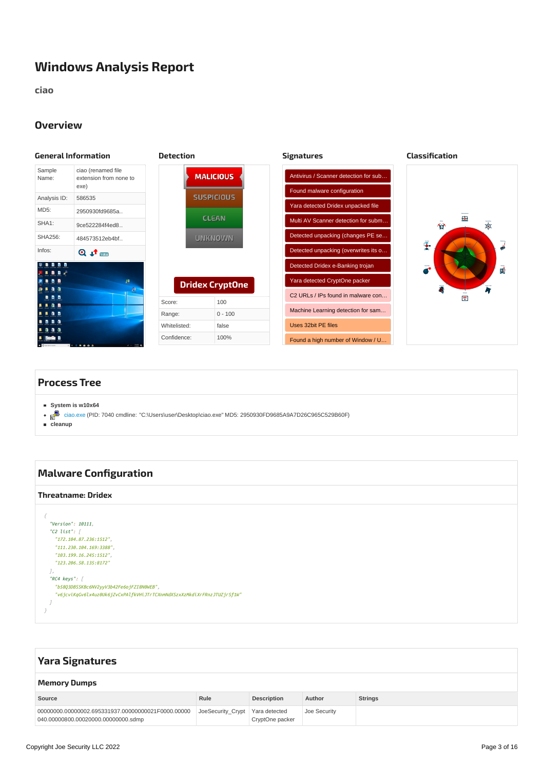# <span id="page-2-0"></span>**Windows Analysis Report**

**ciao**

### <span id="page-2-3"></span><span id="page-2-1"></span>**Overview**

<span id="page-2-2"></span>

<span id="page-2-5"></span><span id="page-2-4"></span>PE file contains strange resources

## <span id="page-2-6"></span>**[Process](#page-2-11) Tree**

- <span id="page-2-11"></span>**System is w10x64**
- [ciao.exe](#page-13-7) (PID: 7040 cmdline: "C:\Users\user\Desktop\ciao.exe" MD5: 2950930FD9685A9A7D26C965C529B60F)

**cleanup**

#### <span id="page-2-13"></span><span id="page-2-12"></span><span id="page-2-8"></span><span id="page-2-7"></span> $\mathcal{L}_{\mathcal{A}}$  and installation date of  $\mathcal{L}_{\mathcal{A}}$  and  $\mathcal{L}_{\mathcal{A}}$  and  $\mathcal{L}_{\mathcal{A}}$  and  $\mathcal{L}_{\mathcal{A}}$ *{ "Version": 10111, "C2 list": [ "172.104.87.236:1512", "111.230.104.169:3388", "103.199.16.245:1512", "123.206.58.135:8172" ], "RC4 keys": [ "b58Q3DBSSKBc6NV2yyV3b42Fe6ojFZI8N0WEB", "v6jcviKqGv6lx4uz0Uk6jZvCxPAlfkVHiJTrTCXnmNdXSzxXzMkdiXrFRnzJTUZjrSf1W" ] }* **Malware [Configuration](#page-2-12) [Threatname:](#page-2-13) Dridex**

<span id="page-2-10"></span><span id="page-2-9"></span>

| <b>Yara Signatures</b>                                                                    |                                   |                    |              |                |  |  |
|-------------------------------------------------------------------------------------------|-----------------------------------|--------------------|--------------|----------------|--|--|
| <b>Memory Dumps</b>                                                                       |                                   |                    |              |                |  |  |
| Source                                                                                    | Rule                              | <b>Description</b> | Author       | <b>Strings</b> |  |  |
| 00000000.00000002.695331937.00000000021F0000.00000<br>040.00000800.00020000.00000000.sdmp | JoeSecurity Crypt   Yara detected | CryptOne packer    | Joe Security |                |  |  |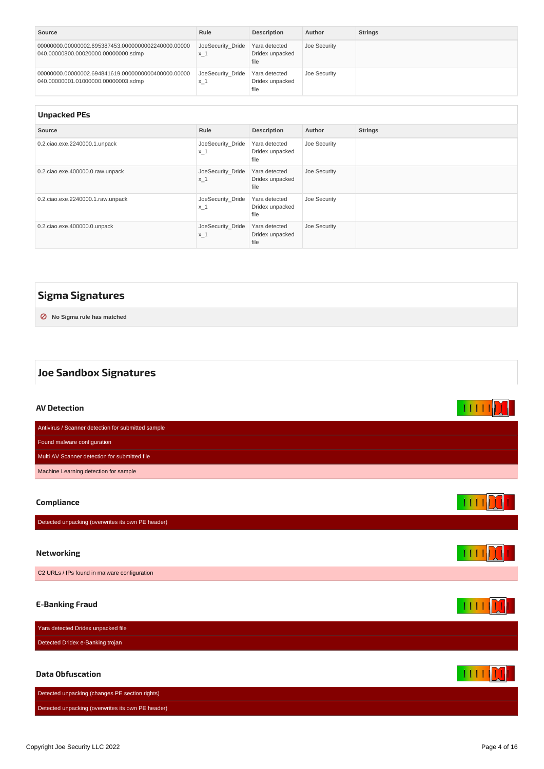<span id="page-3-9"></span><span id="page-3-8"></span>

| Source                                                                                    | Rule                       | <b>Description</b>                       | Author       | <b>Strings</b> |
|-------------------------------------------------------------------------------------------|----------------------------|------------------------------------------|--------------|----------------|
| 00000000.00000002.695387453.0000000002240000.00000<br>040.00000800.00020000.00000000.sdmp | JoeSecurity Dride<br>$x_1$ | Yara detected<br>Dridex unpacked<br>file | Joe Security |                |
| 00000000.00000002.694841619.0000000000400000.00000<br>040.00000001.01000000.00000003.sdmp | JoeSecurity Dride<br>$x_1$ | Yara detected<br>Dridex unpacked<br>file | Joe Security |                |

<span id="page-3-10"></span><span id="page-3-0"></span>

| <b>Unpacked PEs</b>                  |                            |                                          |              |                |  |  |  |
|--------------------------------------|----------------------------|------------------------------------------|--------------|----------------|--|--|--|
| Source                               | Rule                       | <b>Description</b>                       | Author       | <b>Strings</b> |  |  |  |
| 0.2. ciao.exe. 2240000.1. unpack     | JoeSecurity Dride<br>$x_1$ | Yara detected<br>Dridex unpacked<br>file | Joe Security |                |  |  |  |
| 0.2.ciao.exe.400000.0.raw.unpack     | JoeSecurity Dride<br>$x_1$ | Yara detected<br>Dridex unpacked<br>file | Joe Security |                |  |  |  |
| 0.2. ciao.exe. 2240000.1. raw.unpack | JoeSecurity Dride<br>$x_1$ | Yara detected<br>Dridex unpacked<br>file | Joe Security |                |  |  |  |
| 0.2.ciao.exe.400000.0.unpack         | JoeSecurity Dride<br>$x_1$ | Yara detected<br>Dridex unpacked<br>file | Joe Security |                |  |  |  |

## <span id="page-3-1"></span>**Sigma [Signatures](#page-3-11)**

<span id="page-3-11"></span>**⊘ No Sigma rule has matched**

# <span id="page-3-2"></span>**Joe Sandbox Signatures**

<span id="page-3-7"></span><span id="page-3-6"></span><span id="page-3-5"></span><span id="page-3-4"></span><span id="page-3-3"></span>

| <b>AV Detection</b>                                |  |
|----------------------------------------------------|--|
| Antivirus / Scanner detection for submitted sample |  |
| Found malware configuration                        |  |
| Multi AV Scanner detection for submitted file      |  |
| Machine Learning detection for sample              |  |
|                                                    |  |
| Compliance                                         |  |
| Detected unpacking (overwrites its own PE header)  |  |
|                                                    |  |
| <b>Networking</b>                                  |  |
| C2 URLs / IPs found in malware configuration       |  |
|                                                    |  |
| <b>E-Banking Fraud</b>                             |  |
| Yara detected Dridex unpacked file                 |  |
| Detected Dridex e-Banking trojan                   |  |
|                                                    |  |
| <b>Data Obfuscation</b>                            |  |
| Detected unpacking (changes PE section rights)     |  |
| Detected unpacking (overwrites its own PE header)  |  |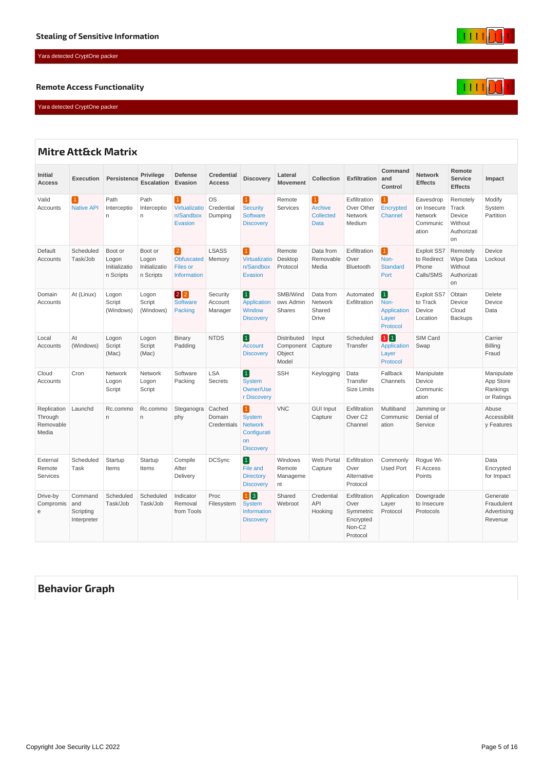## <span id="page-4-0"></span>Yara detected CryptOne packer

#### <span id="page-4-1"></span>**Remote Access Functionality**

Yara detected CryptOne packer

<span id="page-4-4"></span><span id="page-4-2"></span>

|                                              | <b>Mitre Att&amp;ck Matrix</b>             |                                                |                                                |                                                                  |                                    |                                                                                       |                                             |                                                                |                                                                      |                                                                    |                                                          |                                                             |                                                   |
|----------------------------------------------|--------------------------------------------|------------------------------------------------|------------------------------------------------|------------------------------------------------------------------|------------------------------------|---------------------------------------------------------------------------------------|---------------------------------------------|----------------------------------------------------------------|----------------------------------------------------------------------|--------------------------------------------------------------------|----------------------------------------------------------|-------------------------------------------------------------|---------------------------------------------------|
| <b>Initial</b><br><b>Access</b>              | <b>Execution</b>                           | Persistence                                    | <b>Privilege</b><br><b>Escalation</b>          | <b>Defense</b><br>Evasion                                        | <b>Credential</b><br><b>Access</b> | <b>Discovery</b>                                                                      | Lateral<br><b>Movement</b>                  | Collection                                                     | <b>Exfiltration</b>                                                  | Command<br>and<br>Control                                          | <b>Network</b><br><b>Effects</b>                         | Remote<br><b>Service</b><br><b>Effects</b>                  | Impact                                            |
| Valid<br>Accounts                            | $\mathbf{1}$<br><b>Native API</b>          | Path<br>Interceptio<br>n                       | Path<br>Interceptio<br>n                       | $\vert$ 1<br>Virtualizatio<br>n/Sandbox<br>Evasion               | <b>OS</b><br>Credential<br>Dumping | $\vert$ 1<br><b>Security</b><br><b>Software</b><br><b>Discovery</b>                   | Remote<br>Services                          | $\vert$ 1<br><b>Archive</b><br><b>Collected</b><br><b>Data</b> | Exfiltration<br>Over Other<br><b>Network</b><br>Medium               | $\vert$ 1<br>Encrypted<br>Channel                                  | Eavesdrop<br>on Insecure<br>Network<br>Communic<br>ation | Remotely<br>Track<br>Device<br>Without<br>Authorizati<br>on | Modify<br>System<br>Partition                     |
| Default<br>Accounts                          | Scheduled<br>Task/Job                      | Boot or<br>Logon<br>Initializatio<br>n Scripts | Boot or<br>Logon<br>Initializatio<br>n Scripts | $\vert$ 2<br><b>Obfuscated</b><br>Files or<br><b>Information</b> | <b>LSASS</b><br>Memory             | $\vert$ 1<br>Virtualizatio<br>n/Sandbox<br>Evasion                                    | Remote<br>Desktop<br>Protocol               | Data from<br>Removable<br>Media                                | Exfiltration<br>Over<br>Bluetooth                                    | $\vert$ 1 $\vert$<br>Non-<br><b>Standard</b><br>Port               | Exploit SS7<br>to Redirect<br>Phone<br>Calls/SMS         | Remotely<br>Wipe Data<br>Without<br>Authorizati<br>on       | Device<br>Lockout                                 |
| Domain<br>Accounts                           | At (Linux)                                 | Logon<br>Script<br>(Windows)                   | Logon<br>Script<br>(Windows)                   | $\boxed{2}$ $\boxed{2}$<br><b>Software</b><br>Packing            | Security<br>Account<br>Manager     | $\blacksquare$<br><b>Application</b><br>Window<br><b>Discovery</b>                    | SMB/Wind<br>ows Admin<br>Shares             | Data from<br>Network<br>Shared<br><b>Drive</b>                 | Automated<br>Exfiltration                                            | $\boxed{1}$<br>Non-<br><b>Application</b><br>Layer<br>Protocol     | <b>Exploit SS7</b><br>to Track<br>Device<br>Location     | Obtain<br>Device<br>Cloud<br><b>Backups</b>                 | <b>Delete</b><br>Device<br>Data                   |
| Local<br>Accounts                            | At<br>(Windows)                            | Logon<br>Script<br>(Mac)                       | Logon<br>Script<br>(Mac)                       | <b>Binary</b><br>Padding                                         | <b>NTDS</b>                        | $\boxed{1}$<br><b>Account</b><br><b>Discovery</b>                                     | Distributed<br>Component<br>Object<br>Model | Input<br>Capture                                               | Scheduled<br>Transfer                                                | $\mathbf{1} \mathbf{1}$<br><b>Application</b><br>Layer<br>Protocol | SIM Card<br>Swap                                         |                                                             | Carrier<br>Billing<br>Fraud                       |
| Cloud<br>Accounts                            | Cron                                       | Network<br>Logon<br>Script                     | Network<br>Logon<br>Script                     | Software<br>Packing                                              | LSA<br><b>Secrets</b>              | $\boxed{1}$<br><b>System</b><br>Owner/Use<br>r Discovery                              | <b>SSH</b>                                  | Keylogging                                                     | Data<br>Transfer<br><b>Size Limits</b>                               | Fallback<br>Channels                                               | Manipulate<br>Device<br>Communic<br>ation                |                                                             | Manipulate<br>App Store<br>Rankings<br>or Ratings |
| Replication<br>Through<br>Removable<br>Media | Launchd                                    | Rc.commo<br>n                                  | Rc.commo<br>n                                  | Steganogra<br>phy                                                | Cached<br>Domain<br>Credentials    | $\vert$ 1<br><b>System</b><br><b>Network</b><br>Configurati<br>on<br><b>Discovery</b> | <b>VNC</b>                                  | <b>GUI Input</b><br>Capture                                    | Exfiltration<br>Over <sub>C2</sub><br>Channel                        | Multiband<br>Communic<br>ation                                     | Jamming or<br>Denial of<br>Service                       |                                                             | Abuse<br>Accessibilit<br>y Features               |
| External<br>Remote<br>Services               | Scheduled<br>Task                          | Startup<br>Items                               | Startup<br>Items                               | Compile<br>After<br>Delivery                                     | <b>DCSync</b>                      | $\vert$ 1 $\vert$<br>File and<br><b>Directory</b><br><b>Discovery</b>                 | Windows<br>Remote<br>Manageme<br>nt         | Web Portal<br>Capture                                          | Exfiltration<br>Over<br>Alternative<br>Protocol                      | Commonly<br><b>Used Port</b>                                       | Roque Wi-<br><b>Fi Access</b><br>Points                  |                                                             | Data<br>Encrypted<br>for Impact                   |
| Drive-by<br>Compromis<br>e                   | Command<br>and<br>Scripting<br>Interpreter | Scheduled<br>Task/Job                          | Scheduled<br>Task/Job                          | Indicator<br>Removal<br>from Tools                               | Proc<br>Filesystem                 | $\boxed{1}$ $\boxed{3}$<br><b>System</b><br><b>Information</b><br><b>Discovery</b>    | Shared<br>Webroot                           | Credential<br>API<br>Hooking                                   | Exfiltration<br>Over<br>Symmetric<br>Encrypted<br>Non-C2<br>Protocol | Application<br>Layer<br>Protocol                                   | Downgrade<br>to Insecure<br>Protocols                    |                                                             | Generate<br>Fraudulent<br>Advertising<br>Revenue  |

# <span id="page-4-3"></span>**[Behavior](#page-5-2) Graph**





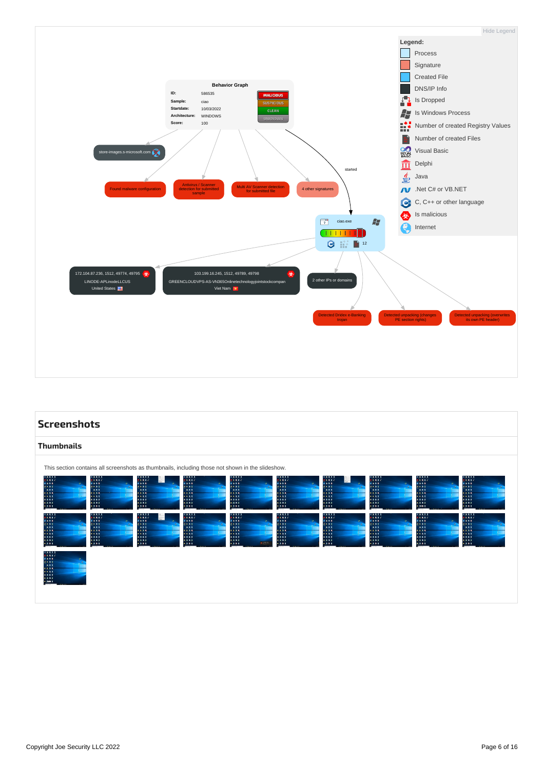<span id="page-5-2"></span>

<span id="page-5-3"></span><span id="page-5-1"></span><span id="page-5-0"></span>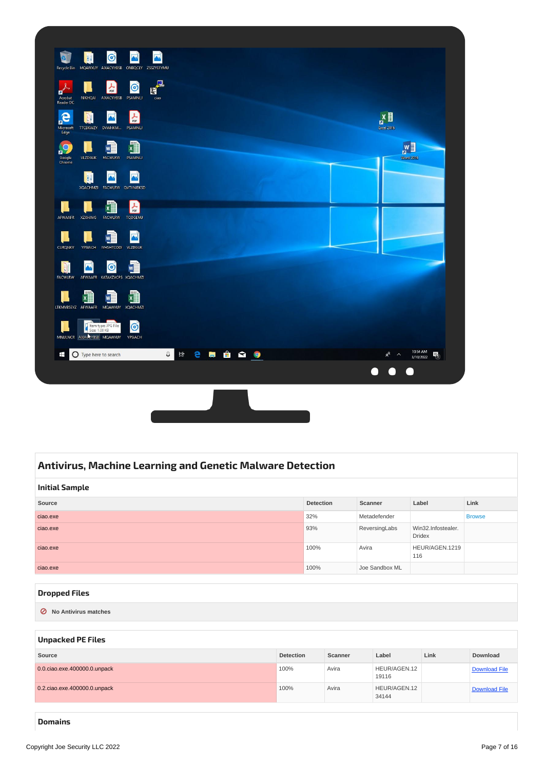<span id="page-6-5"></span>

## <span id="page-6-0"></span>**Antivirus, Machine Learning and Genetic Malware [Detection](#page-6-6)**

<span id="page-6-7"></span><span id="page-6-6"></span><span id="page-6-1"></span>

| <b>Initial Sample</b> |                  |                |                                     |               |  |  |
|-----------------------|------------------|----------------|-------------------------------------|---------------|--|--|
| Source                | <b>Detection</b> | Scanner        | Label                               | Link          |  |  |
| ciao.exe              | 32%              | Metadefender   |                                     | <b>Browse</b> |  |  |
| ciao.exe              | 93%              | ReversingLabs  | Win32.Infostealer.<br><b>Dridex</b> |               |  |  |
| ciao.exe              | 100%             | Avira          | HEUR/AGEN.1219<br>116               |               |  |  |
| ciao.exe              | 100%             | Joe Sandbox ML |                                     |               |  |  |

#### <span id="page-6-2"></span>**[Dropped](#page-6-8) Files**

<span id="page-6-8"></span>**⊘ No Antivirus matches**

#### <span id="page-6-3"></span>**[Unpacked](#page-6-9) PE Files**

<span id="page-6-9"></span>

| Source                       | <b>Detection</b> | Scanner | Label                 | Link | <b>Download</b>      |
|------------------------------|------------------|---------|-----------------------|------|----------------------|
| 0.0.ciao.exe.400000.0.unpack | 100%             | Avira   | HEUR/AGEN.12<br>19116 |      | <b>Download File</b> |
| 0.2.ciao.exe.400000.0.unpack | 100%             | Avira   | HEUR/AGEN.12<br>34144 |      | <b>Download File</b> |

<span id="page-6-4"></span>**[Domains](#page-7-6)**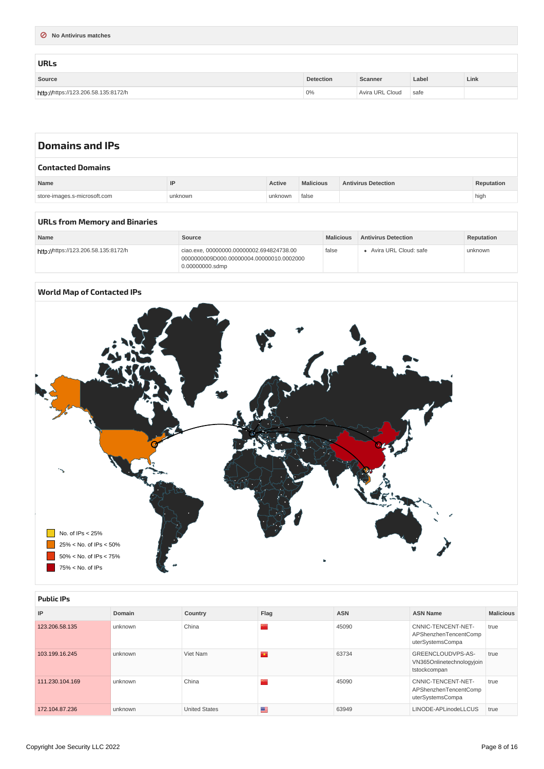<span id="page-7-7"></span><span id="page-7-6"></span><span id="page-7-0"></span>

| ◯ No Antivirus matches               |                  |                 |       |      |
|--------------------------------------|------------------|-----------------|-------|------|
|                                      |                  |                 |       |      |
| <b>URLs</b>                          |                  |                 |       |      |
| Source                               | <b>Detection</b> | Scanner         | Label | Link |
| http://https://123.206.58.135:8172/h | 0%               | Avira URL Cloud | safe  |      |

<span id="page-7-8"></span><span id="page-7-2"></span><span id="page-7-1"></span>

| <b>Domains and IPs</b>       |         |         |                  |                            |            |  |  |
|------------------------------|---------|---------|------------------|----------------------------|------------|--|--|
| <b>Contacted Domains</b>     |         |         |                  |                            |            |  |  |
| Name                         | IP      | Active  | <b>Malicious</b> | <b>Antivirus Detection</b> | Reputation |  |  |
| store-images.s-microsoft.com | unknown | unknown | false            |                            | high       |  |  |
|                              |         |         |                  |                            |            |  |  |

<span id="page-7-9"></span><span id="page-7-3"></span>

| URLs from Memory and Binaries |  |  |  |  |
|-------------------------------|--|--|--|--|
|-------------------------------|--|--|--|--|

<span id="page-7-10"></span>

| <b>Name</b>                          | Source                                                                                                  | <b>Malicious</b> | <b>Antivirus Detection</b> | Reputation |
|--------------------------------------|---------------------------------------------------------------------------------------------------------|------------------|----------------------------|------------|
| http://https://123.206.58.135:8172/h | ciao.exe. 00000000.00000002.694824738.00<br>0000000009D000.00000004.00000010.0002000<br>0.00000000.sdmp | false            | • Avira URL Cloud: safe    | unknown    |

## <span id="page-7-4"></span>**World Map of [Contacted](#page-7-11) IPs**

<span id="page-7-11"></span>

<span id="page-7-12"></span><span id="page-7-5"></span>

| <b>Public IPs</b> |         |                      |      |            |                                                                 |                  |  |  |
|-------------------|---------|----------------------|------|------------|-----------------------------------------------------------------|------------------|--|--|
| IP                | Domain  | Country              | Flag | <b>ASN</b> | <b>ASN Name</b>                                                 | <b>Malicious</b> |  |  |
| 123.206.58.135    | unknown | China                |      | 45090      | CNNIC-TENCENT-NET-<br>APShenzhenTencentComp<br>uterSystemsCompa | true             |  |  |
| 103.199.16.245    | unknown | Viet Nam             |      | 63734      | GREENCLOUDVPS-AS-<br>VN365Onlinetechnologyjoin<br>tstockcompan  | true             |  |  |
| 111.230.104.169   | unknown | China                |      | 45090      | CNNIC-TENCENT-NET-<br>APShenzhenTencentComp<br>uterSystemsCompa | true             |  |  |
| 172.104.87.236    | unknown | <b>United States</b> | ≊    | 63949      | LINODE-APLinodeLLCUS                                            | true             |  |  |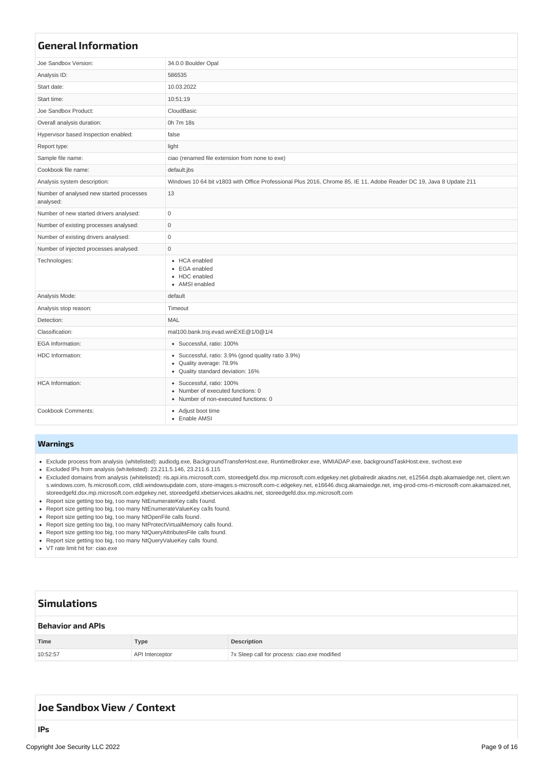<span id="page-8-6"></span><span id="page-8-0"></span>

| <b>General Information</b>                            |                                                                                                                                 |
|-------------------------------------------------------|---------------------------------------------------------------------------------------------------------------------------------|
| Joe Sandbox Version:                                  | 34.0.0 Boulder Opal                                                                                                             |
| Analysis ID:                                          | 586535                                                                                                                          |
| Start date:                                           | 10.03.2022                                                                                                                      |
| Start time:                                           | 10:51:19                                                                                                                        |
| Joe Sandbox Product:                                  | CloudBasic                                                                                                                      |
| Overall analysis duration:                            | 0h 7m 18s                                                                                                                       |
| Hypervisor based Inspection enabled:                  | false                                                                                                                           |
| Report type:                                          | light                                                                                                                           |
| Sample file name:                                     | ciao (renamed file extension from none to exe)                                                                                  |
| Cookbook file name:                                   | default.jbs                                                                                                                     |
| Analysis system description:                          | Windows 10 64 bit v1803 with Office Professional Plus 2016, Chrome 85, IE 11, Adobe Reader DC 19, Java 8 Update 211             |
| Number of analysed new started processes<br>analysed: | 13                                                                                                                              |
| Number of new started drivers analysed:               | $\mathsf 0$                                                                                                                     |
| Number of existing processes analysed:                | $\mathsf{O}\xspace$                                                                                                             |
| Number of existing drivers analysed:                  | $\mathsf 0$                                                                                                                     |
| Number of injected processes analysed:                | $\mathbf 0$                                                                                                                     |
| Technologies:                                         | • HCA enabled<br>• EGA enabled<br>• HDC enabled<br>• AMSI enabled                                                               |
| Analysis Mode:                                        | default                                                                                                                         |
| Analysis stop reason:                                 | Timeout                                                                                                                         |
| Detection:                                            | MAL                                                                                                                             |
| Classification:                                       | mal100.bank.troj.evad.winEXE@1/0@1/4                                                                                            |
| <b>EGA</b> Information:                               | • Successful, ratio: 100%                                                                                                       |
| HDC Information:                                      | • Successful, ratio: 3.9% (good quality ratio 3.9%)<br>Quality average: 78.9%<br>$\bullet$<br>• Quality standard deviation: 16% |
| <b>HCA</b> Information:                               | · Successful, ratio: 100%<br>• Number of executed functions: 0<br>· Number of non-executed functions: 0                         |
| Cookbook Comments:                                    | • Adjust boot time<br>• Enable AMSI                                                                                             |

#### <span id="page-8-1"></span>**[Warnings](#page-8-7)**

- <span id="page-8-7"></span>Exclude process from analysis (whitelisted): audiodg.exe, BackgroundTransferHost.exe, RuntimeBroker.exe, WMIADAP.exe, backgroundTaskHost.exe, svchost.exe
- Excluded IPs from analysis (whitelisted): 23.211.5.146, 23.211.6.115
- Excluded domains from analysis (whitelisted): ris.api.iris.microsoft.com, storeedgefd.dsx.mp.microsoft.com.edgekey.net.globalredir.akadns.net, e12564.dspb.akamaiedge.net, client.wn s.windows.com, fs.microsoft.com, ctldl.windowsupdate.com, store-images.s-microsoft.com-c.edgekey.net, e16646.dscg.akamaiedge.net, img-prod-cms-rt-microsoft-com.akamaized.net, storeedgefd.dsx.mp.microsoft.com.edgekey.net, storeedgefd.xbetservices.akadns.net, storeedgefd.dsx.mp.microsoft.com
- Report size getting too big, t oo many NtEnumerateKey calls f ound.
- Report size getting too big, t oo many NtEnumerateValueKey calls found.
- Report size getting too big, t oo many NtOpenFile calls found.
- Report size getting too big, t oo many NtProtectVirtualMemory calls found.
- Report size getting too big, t oo many NtQueryAttributesFile calls found.
- Report size getting too big, t oo many NtQueryValueKey calls found.
- VT rate limit hit for: ciao.exe

<span id="page-8-9"></span><span id="page-8-8"></span><span id="page-8-3"></span><span id="page-8-2"></span>

| <b>Simulations</b>       |                        |                                              |  |  |  |  |
|--------------------------|------------------------|----------------------------------------------|--|--|--|--|
| <b>Behavior and APIs</b> |                        |                                              |  |  |  |  |
| Time                     | <b>Type</b>            | <b>Description</b>                           |  |  |  |  |
| 10:52:57                 | <b>API Interceptor</b> | 7x Sleep call for process: ciao.exe modified |  |  |  |  |

## <span id="page-8-5"></span><span id="page-8-4"></span>**Joe [Sandbox](#page-9-10) View / Context**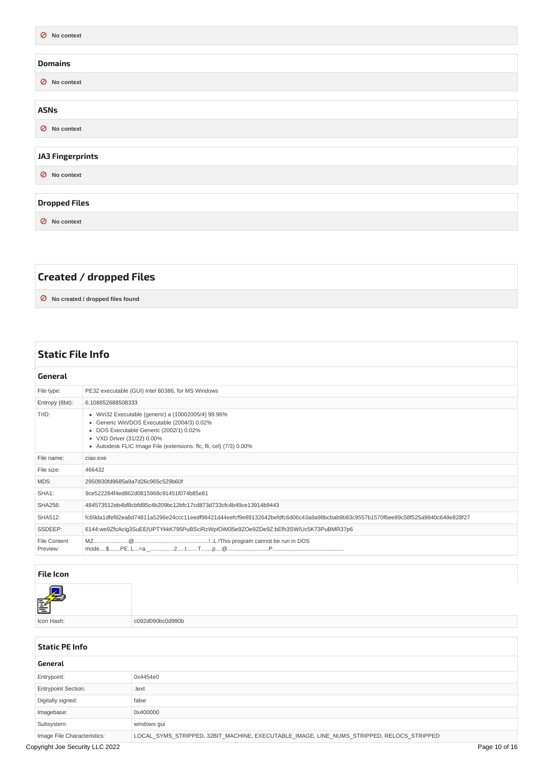<span id="page-9-13"></span><span id="page-9-12"></span><span id="page-9-11"></span><span id="page-9-10"></span><span id="page-9-2"></span><span id="page-9-1"></span><span id="page-9-0"></span>

| O No context            |
|-------------------------|
|                         |
| <b>Domains</b>          |
| ◯ No context            |
|                         |
| <b>ASNs</b>             |
| $\oslash$ No context    |
|                         |
| <b>JA3 Fingerprints</b> |
| O No context            |
|                         |
| <b>Dropped Files</b>    |
| O No context            |
|                         |

# <span id="page-9-15"></span><span id="page-9-14"></span><span id="page-9-4"></span><span id="page-9-3"></span>**Created / [dropped](#page-9-16) Files**

<span id="page-9-16"></span>**⊘ No created / dropped files found**

<span id="page-9-17"></span><span id="page-9-6"></span><span id="page-9-5"></span>

| <b>Static File Info</b>  |                                                                                                                                                                                                                                                  |  |  |  |  |  |
|--------------------------|--------------------------------------------------------------------------------------------------------------------------------------------------------------------------------------------------------------------------------------------------|--|--|--|--|--|
| General                  |                                                                                                                                                                                                                                                  |  |  |  |  |  |
| File type:               | PE32 executable (GUI) Intel 80386, for MS Windows                                                                                                                                                                                                |  |  |  |  |  |
| Entropy (8bit):          | 6.108652688508333                                                                                                                                                                                                                                |  |  |  |  |  |
| TrID:                    | • Win32 Executable (generic) a (10002005/4) 99.96%<br>• Generic Win/DOS Executable (2004/3) 0.02%<br>• DOS Executable Generic (2002/1) 0.02%<br>• VXD Driver (31/22) 0.00%<br>• Autodesk FLIC Image File (extensions: flc, fli, cel) (7/3) 0.00% |  |  |  |  |  |
| File name:               | ciao.exe                                                                                                                                                                                                                                         |  |  |  |  |  |
| File size:               | 466432                                                                                                                                                                                                                                           |  |  |  |  |  |
| MD5:                     | 2950930fd9685a9a7d26c965c529b60f                                                                                                                                                                                                                 |  |  |  |  |  |
| SHA1:                    | 9ce522284f4ed862d0815968c91451f074b85e81                                                                                                                                                                                                         |  |  |  |  |  |
| <b>SHA256:</b>           | 484573512eb4bf8cbfd85c4b209bc12bfc17cd873d733cfc4b49ce13914b9443                                                                                                                                                                                 |  |  |  |  |  |
| SHA512:                  | fc69da1dfef82ea8d74811a5296e24ccc11eedf98421d44eefcf9e89132642befdfc6d06c43a8a98bcbab9b83c9557b1570f6ee89c58f525a9840c648e828f27                                                                                                                 |  |  |  |  |  |
| SSDEEP:                  | 6144:we9ZfcAcig3SuEE/UPTYkkK795PuBSciRzWpIOiM35e9ZOe9ZDe9Z:bEfh3SW/Uc5K73PuBMR37p6                                                                                                                                                               |  |  |  |  |  |
| File Content<br>Preview: |                                                                                                                                                                                                                                                  |  |  |  |  |  |

#### <span id="page-9-7"></span>**File [Icon](#page-9-18)**

<span id="page-9-18"></span>

c092d090bc0d990b

#### <span id="page-9-8"></span>**[Static](#page-11-4) PE Info**

<span id="page-9-9"></span>

| General                         |                                                                                           |               |
|---------------------------------|-------------------------------------------------------------------------------------------|---------------|
| Entrypoint:                     | 0x4454e0                                                                                  |               |
| <b>Entrypoint Section:</b>      | .text                                                                                     |               |
| Digitally signed:               | false                                                                                     |               |
| Imagebase:                      | 0x400000                                                                                  |               |
| Subsystem:                      | windows gui                                                                               |               |
| Image File Characteristics:     | LOCAL SYMS STRIPPED, 32BIT MACHINE, EXECUTABLE IMAGE, LINE NUMS STRIPPED, RELOCS STRIPPED |               |
| Copyright Joe Security LLC 2022 |                                                                                           | Page 10 of 16 |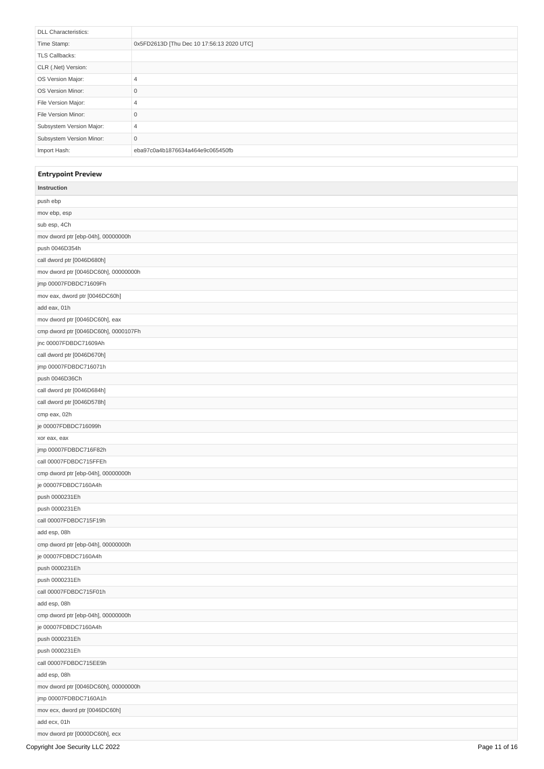<span id="page-10-2"></span><span id="page-10-1"></span>

| <b>DLL Characteristics:</b> |                                           |
|-----------------------------|-------------------------------------------|
| Time Stamp:                 | 0x5FD2613D [Thu Dec 10 17:56:13 2020 UTC] |
| <b>TLS Callbacks:</b>       |                                           |
| CLR (.Net) Version:         |                                           |
| OS Version Major:           | 4                                         |
| OS Version Minor:           | 0                                         |
| File Version Major:         | 4                                         |
| File Version Minor:         | 0                                         |
| Subsystem Version Major:    | 4                                         |
| Subsystem Version Minor:    | $\mathbf 0$                               |
| Import Hash:                | eba97c0a4b1876634a464e9c065450fb          |

#### <span id="page-10-0"></span>**[Entrypoint](#page-10-3) Preview**

<span id="page-10-3"></span>

| Instruction                          |               |
|--------------------------------------|---------------|
| push ebp                             |               |
| mov ebp, esp                         |               |
| sub esp, 4Ch                         |               |
| mov dword ptr [ebp-04h], 00000000h   |               |
| push 0046D354h                       |               |
| call dword ptr [0046D680h]           |               |
| mov dword ptr [0046DC60h], 00000000h |               |
| jmp 00007FDBDC71609Fh                |               |
| mov eax, dword ptr [0046DC60h]       |               |
| add eax, 01h                         |               |
| mov dword ptr [0046DC60h], eax       |               |
| cmp dword ptr [0046DC60h], 0000107Fh |               |
| jnc 00007FDBDC71609Ah                |               |
| call dword ptr [0046D670h]           |               |
| jmp 00007FDBDC716071h                |               |
| push 0046D36Ch                       |               |
| call dword ptr [0046D684h]           |               |
| call dword ptr [0046D578h]           |               |
| cmp eax, 02h                         |               |
| je 00007FDBDC716099h                 |               |
| xor eax, eax                         |               |
| jmp 00007FDBDC716F82h                |               |
| call 00007FDBDC715FFEh               |               |
| cmp dword ptr [ebp-04h], 00000000h   |               |
| je 00007FDBDC7160A4h                 |               |
| push 0000231Eh                       |               |
| push 0000231Eh                       |               |
| call 00007FDBDC715F19h               |               |
| add esp, 08h                         |               |
| cmp dword ptr [ebp-04h], 00000000h   |               |
| je 00007FDBDC7160A4h                 |               |
| push 0000231Eh                       |               |
| push 0000231Eh                       |               |
| call 00007FDBDC715F01h               |               |
| add esp, 08h                         |               |
| cmp dword ptr [ebp-04h], 00000000h   |               |
| je 00007FDBDC7160A4h                 |               |
| push 0000231Eh                       |               |
| push 0000231Eh                       |               |
| call 00007FDBDC715EE9h               |               |
| add esp, 08h                         |               |
| mov dword ptr [0046DC60h], 00000000h |               |
| jmp 00007FDBDC7160A1h                |               |
| mov ecx, dword ptr [0046DC60h]       |               |
| add ecx, 01h                         |               |
| mov dword ptr [0000DC60h], ecx       |               |
| Copyright Joe Security LLC 2022      | Page 11 of 16 |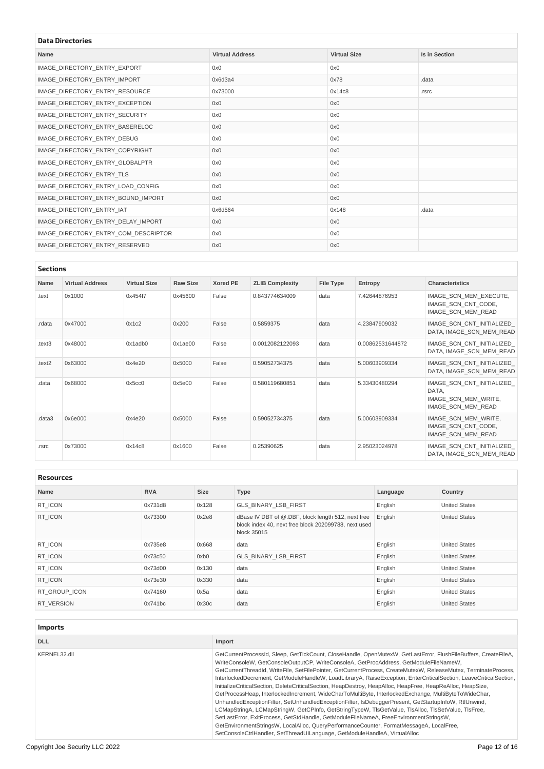# <span id="page-11-4"></span><span id="page-11-0"></span>**Data [Directories](#page-11-5)**

<span id="page-11-5"></span>

| Data Directories       |                     |                      |  |  |  |  |  |  |
|------------------------|---------------------|----------------------|--|--|--|--|--|--|
| <b>Virtual Address</b> | <b>Virtual Size</b> | <b>Is in Section</b> |  |  |  |  |  |  |
| 0x0                    | 0x0                 |                      |  |  |  |  |  |  |
| 0x6d3a4                | 0x78                | .data                |  |  |  |  |  |  |
| 0x73000                | 0x14c8              | .rsrc                |  |  |  |  |  |  |
| 0x0                    | 0x0                 |                      |  |  |  |  |  |  |
| 0x0                    | 0x0                 |                      |  |  |  |  |  |  |
| 0x0                    | 0x0                 |                      |  |  |  |  |  |  |
| 0x0                    | 0x0                 |                      |  |  |  |  |  |  |
| 0x0                    | 0x0                 |                      |  |  |  |  |  |  |
| 0x0                    | 0x0                 |                      |  |  |  |  |  |  |
| 0x0                    | 0x0                 |                      |  |  |  |  |  |  |
| 0x0                    | 0x0                 |                      |  |  |  |  |  |  |
| 0x0                    | 0x0                 |                      |  |  |  |  |  |  |
| 0x6d564                | 0x148               | .data                |  |  |  |  |  |  |
| 0x0                    | 0x0                 |                      |  |  |  |  |  |  |
| 0x0                    | 0x0                 |                      |  |  |  |  |  |  |
| 0x0                    | 0x0                 |                      |  |  |  |  |  |  |
|                        |                     |                      |  |  |  |  |  |  |

#### <span id="page-11-1"></span>**[Sections](#page-11-6)**

<span id="page-11-6"></span>

| Name   | <b>Virtual Address</b> | <b>Virtual Size</b> | <b>Raw Size</b> | <b>Xored PE</b> | <b>ZLIB Complexity</b> | File Type | Entropy          | <b>Characteristics</b>                                                           |  |
|--------|------------------------|---------------------|-----------------|-----------------|------------------------|-----------|------------------|----------------------------------------------------------------------------------|--|
| .text  | 0x1000                 | 0x454f7             | 0x45600         | False           | 0.843774634009         | data      | 7.42644876953    | IMAGE SCN MEM EXECUTE,<br>IMAGE SCN CNT CODE,<br>IMAGE SCN MEM READ              |  |
| .rdata | 0x47000                | 0x1c2               | 0x200           | False           | 0.5859375              | data      | 4.23847909032    | IMAGE SCN CNT INITIALIZED<br>DATA, IMAGE SCN MEM READ                            |  |
| .text3 | 0x48000                | 0x1adb0             | 0x1ae00         | False           | 0.0012082122093        | data      | 0.00862531644872 | IMAGE SCN CNT INITIALIZED<br>DATA, IMAGE SCN MEM READ                            |  |
| .text2 | 0x63000                | 0x4e20              | 0x5000          | False           | 0.59052734375          | data      | 5.00603909334    | IMAGE SCN CNT INITIALIZED<br>DATA, IMAGE SCN MEM READ                            |  |
| .data  | 0x68000                | 0x5cc0              | 0x5e00          | False           | 0.580119680851         | data      | 5.33430480294    | IMAGE SCN CNT INITIALIZED<br>DATA.<br>IMAGE SCN MEM WRITE,<br>IMAGE SCN MEM READ |  |
| .data3 | 0x6e000                | 0x4e20              | 0x5000          | False           | 0.59052734375          | data      | 5.00603909334    | IMAGE SCN MEM WRITE,<br>IMAGE SCN CNT CODE,<br>IMAGE SCN MEM READ                |  |
| .rsrc  | 0x73000                | 0x14c8              | 0x1600          | False           | 0.25390625             | data      | 2.95023024978    | IMAGE SCN CNT INITIALIZED<br>DATA, IMAGE SCN MEM READ                            |  |

<span id="page-11-2"></span>**[Resources](#page-11-7)**

<span id="page-11-7"></span>

| nesvultes     |            |             |                                                                                                                           |          |                      |  |  |
|---------------|------------|-------------|---------------------------------------------------------------------------------------------------------------------------|----------|----------------------|--|--|
| <b>Name</b>   | <b>RVA</b> | <b>Size</b> | <b>Type</b>                                                                                                               | Language | Country              |  |  |
| RT ICON       | 0x731d8    | 0x128       | <b>GLS BINARY LSB FIRST</b>                                                                                               | English  | <b>United States</b> |  |  |
| RT ICON       | 0x73300    | 0x2e8       | dBase IV DBT of @.DBF, block length 512, next free<br>block index 40, next free block 202099788, next used<br>block 35015 | English  | <b>United States</b> |  |  |
| RT ICON       | 0x735e8    | 0x668       | data                                                                                                                      | English  | <b>United States</b> |  |  |
| RT ICON       | 0x73c50    | $0$ xb $0$  | <b>GLS BINARY LSB FIRST</b>                                                                                               | English  | <b>United States</b> |  |  |
| RT ICON       | 0x73d00    | 0x130       | data                                                                                                                      | English  | <b>United States</b> |  |  |
| RT ICON       | 0x73e30    | 0x330       | data                                                                                                                      | English  | <b>United States</b> |  |  |
| RT GROUP ICON | 0x74160    | 0x5a        | data                                                                                                                      | English  | <b>United States</b> |  |  |
| RT VERSION    | 0x741bc    | 0x30c       | data                                                                                                                      | English  | <b>United States</b> |  |  |
|               |            |             |                                                                                                                           |          |                      |  |  |

<span id="page-11-8"></span><span id="page-11-3"></span>

| <b>Imports</b> |                                                                                                                                                                                                                                                                                                                                                                                                                                                                                                                                                                                                                                                                                                                                                                                                                                                                                                                                                                                                                                                                                                                                                          |
|----------------|----------------------------------------------------------------------------------------------------------------------------------------------------------------------------------------------------------------------------------------------------------------------------------------------------------------------------------------------------------------------------------------------------------------------------------------------------------------------------------------------------------------------------------------------------------------------------------------------------------------------------------------------------------------------------------------------------------------------------------------------------------------------------------------------------------------------------------------------------------------------------------------------------------------------------------------------------------------------------------------------------------------------------------------------------------------------------------------------------------------------------------------------------------|
| <b>DLL</b>     | Import                                                                                                                                                                                                                                                                                                                                                                                                                                                                                                                                                                                                                                                                                                                                                                                                                                                                                                                                                                                                                                                                                                                                                   |
| KERNEL32.dll   | GetCurrentProcessId, Sleep, GetTickCount, CloseHandle, OpenMutexW, GetLastError, FlushFileBuffers, CreateFileA,<br>WriteConsoleW, GetConsoleOutputCP, WriteConsoleA, GetProcAddress, GetModuleFileNameW,<br>GetCurrentThreadId, WriteFile, SetFilePointer, GetCurrentProcess, CreateMutexW, ReleaseMutex, TerminateProcess,<br>InterlockedDecrement, GetModuleHandleW, LoadLibraryA, RaiseException, EnterCriticalSection, LeaveCriticalSection,<br>InitializeCriticalSection, DeleteCriticalSection, HeapDestroy, HeapAlloc, HeapFree, HeapReAlloc, HeapSize,<br>GetProcessHeap, InterlockedIncrement, WideCharToMultiByte, InterlockedExchange, MultiByteToWideChar,<br>UnhandledExceptionFilter, SetUnhandledExceptionFilter, IsDebuggerPresent, GetStartupInfoW, RtIUnwind,<br>LCMapStringA, LCMapStringW, GetCPInfo, GetStringTypeW, TIsGetValue, TIsAlloc, TIsSetValue, TIsFree,<br>SetLastError, ExitProcess, GetStdHandle, GetModuleFileNameA, FreeEnvironmentStringsW,<br>GetEnvironmentStringsW, LocalAlloc, QueryPerformanceCounter, FormatMessageA, LocalFree,<br>SetConsoleCtrlHandler, SetThreadUILanguage, GetModuleHandleA, VirtualAlloc |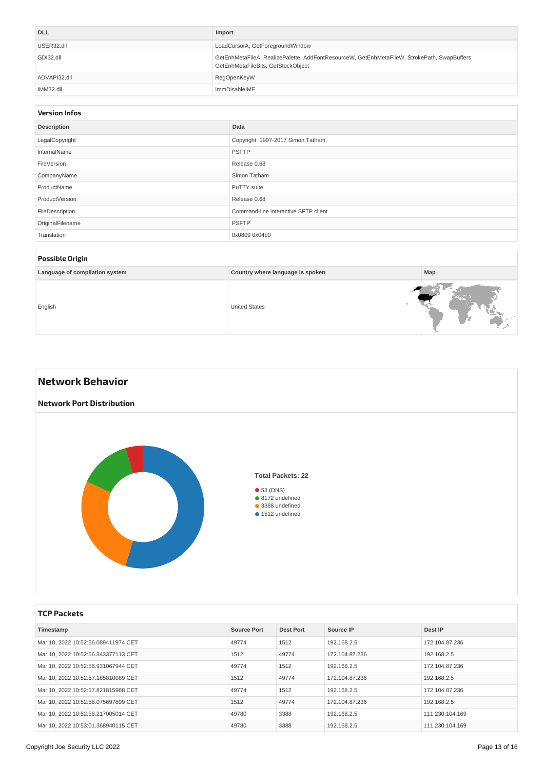| <b>DLL</b>   | Import                                                                                                                             |
|--------------|------------------------------------------------------------------------------------------------------------------------------------|
| USER32.dll   | LoadCursorA, GetForegroundWindow                                                                                                   |
| GDI32.dll    | GetEnhMetaFileA, RealizePalette, AddFontResourceW, GetEnhMetaFileW, StrokePath, SwapBuffers,<br>GetEnhMetaFileBits, GetStockObject |
| ADVAPI32.dll | RegOpenKeyW                                                                                                                        |
| IMM32.dll    | ImmDisableIME                                                                                                                      |

#### <span id="page-12-0"></span>**[Version](#page-12-5) Infos**

<span id="page-12-5"></span>

| <b>Description</b> | Data                                 |
|--------------------|--------------------------------------|
| LegalCopyright     | Copyright 1997-2017 Simon Tatham.    |
| InternalName       | <b>PSFTP</b>                         |
| FileVersion        | Release 0.68                         |
| CompanyName        | Simon Tatham                         |
| ProductName        | PuTTY suite                          |
| ProductVersion     | Release 0.68                         |
| FileDescription    | Command-line interactive SFTP client |
| OriginalFilename   | <b>PSFTP</b>                         |
| Translation        | 0x0809 0x04b0                        |
|                    |                                      |

#### <span id="page-12-1"></span>**[Possible](#page-12-6) Origin**

<span id="page-12-6"></span>

| -                              |                                  |     |
|--------------------------------|----------------------------------|-----|
| Language of compilation system | Country where language is spoken | Map |
| English                        | <b>United States</b>             |     |

<span id="page-12-7"></span><span id="page-12-3"></span><span id="page-12-2"></span>

#### <span id="page-12-4"></span>**TCP [Packets](#page-13-9)**

| Timestamp                           | <b>Source Port</b> | <b>Dest Port</b> | Source IP      | Dest IP         |
|-------------------------------------|--------------------|------------------|----------------|-----------------|
| Mar 10, 2022 10:52:56.089411974 CET | 49774              | 1512             | 192.168.2.5    | 172.104.87.236  |
| Mar 10, 2022 10:52:56.343377113 CET | 1512               | 49774            | 172.104.87.236 | 192.168.2.5     |
| Mar 10, 2022 10:52:56.931067944 CET | 49774              | 1512             | 192.168.2.5    | 172.104.87.236  |
| Mar 10, 2022 10:52:57.185810089 CET | 1512               | 49774            | 172.104.87.236 | 192.168.2.5     |
| Mar 10, 2022 10:52:57.821815968 CET | 49774              | 1512             | 192.168.2.5    | 172.104.87.236  |
| Mar 10, 2022 10:52:58.075697899 CET | 1512               | 49774            | 172.104.87.236 | 192.168.2.5     |
| Mar 10, 2022 10:52:58.217005014 CET | 49780              | 3388             | 192.168.2.5    | 111.230.104.169 |
| Mar 10, 2022 10:53:01.368940115 CET | 49780              | 3388             | 192.168.2.5    | 111.230.104.169 |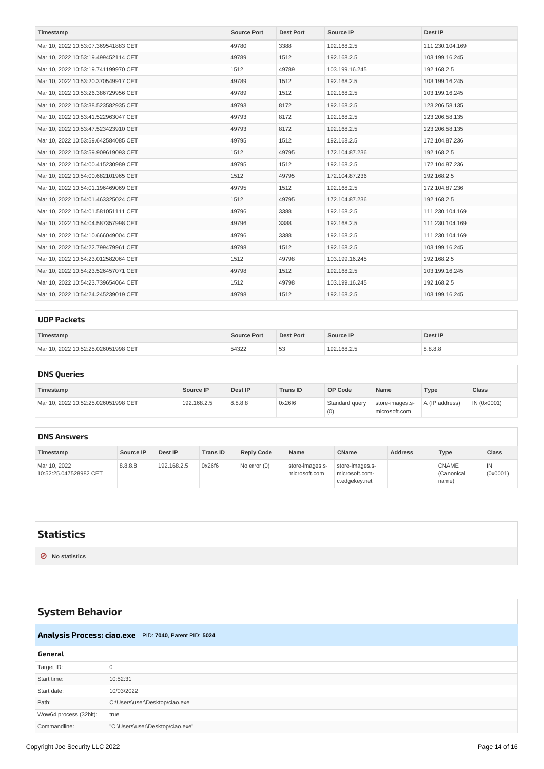<span id="page-13-9"></span><span id="page-13-8"></span>

| Timestamp                           | <b>Source Port</b> | <b>Dest Port</b> | Source IP      | Dest IP         |
|-------------------------------------|--------------------|------------------|----------------|-----------------|
| Mar 10, 2022 10:53:07.369541883 CET | 49780              | 3388             | 192.168.2.5    | 111.230.104.169 |
| Mar 10, 2022 10:53:19.499452114 CET | 49789              | 1512             | 192.168.2.5    | 103.199.16.245  |
| Mar 10, 2022 10:53:19.741199970 CET | 1512               | 49789            | 103.199.16.245 | 192.168.2.5     |
| Mar 10, 2022 10:53:20.370549917 CET | 49789              | 1512             | 192.168.2.5    | 103.199.16.245  |
| Mar 10, 2022 10:53:26.386729956 CET | 49789              | 1512             | 192.168.2.5    | 103.199.16.245  |
| Mar 10, 2022 10:53:38.523582935 CET | 49793              | 8172             | 192.168.2.5    | 123.206.58.135  |
| Mar 10, 2022 10:53:41.522963047 CET | 49793              | 8172             | 192.168.2.5    | 123.206.58.135  |
| Mar 10, 2022 10:53:47.523423910 CET | 49793              | 8172             | 192.168.2.5    | 123.206.58.135  |
| Mar 10, 2022 10:53:59.642584085 CET | 49795              | 1512             | 192.168.2.5    | 172.104.87.236  |
| Mar 10, 2022 10:53:59.909619093 CET | 1512               | 49795            | 172.104.87.236 | 192.168.2.5     |
| Mar 10, 2022 10:54:00.415230989 CET | 49795              | 1512             | 192.168.2.5    | 172.104.87.236  |
| Mar 10, 2022 10:54:00.682101965 CET | 1512               | 49795            | 172.104.87.236 | 192.168.2.5     |
| Mar 10, 2022 10:54:01.196469069 CET | 49795              | 1512             | 192.168.2.5    | 172.104.87.236  |
| Mar 10, 2022 10:54:01.463325024 CET | 1512               | 49795            | 172.104.87.236 | 192.168.2.5     |
| Mar 10, 2022 10:54:01.581051111 CET | 49796              | 3388             | 192.168.2.5    | 111.230.104.169 |
| Mar 10, 2022 10:54:04.587357998 CET | 49796              | 3388             | 192.168.2.5    | 111.230.104.169 |
| Mar 10, 2022 10:54:10.666049004 CET | 49796              | 3388             | 192.168.2.5    | 111.230.104.169 |
| Mar 10, 2022 10:54:22.799479961 CET | 49798              | 1512             | 192.168.2.5    | 103.199.16.245  |
| Mar 10, 2022 10:54:23.012582064 CET | 1512               | 49798            | 103.199.16.245 | 192.168.2.5     |
| Mar 10, 2022 10:54:23.526457071 CET | 49798              | 1512             | 192.168.2.5    | 103.199.16.245  |
| Mar 10, 2022 10:54:23.739654064 CET | 1512               | 49798            | 103.199.16.245 | 192.168.2.5     |
| Mar 10, 2022 10:54:24.245239019 CET | 49798              | 1512             | 192.168.2.5    | 103.199.16.245  |

<span id="page-13-10"></span><span id="page-13-0"></span>

| <b>UDP Packets</b>                  |                    |                  |             |         |  |  |  |
|-------------------------------------|--------------------|------------------|-------------|---------|--|--|--|
| Timestamp                           | <b>Source Port</b> | <b>Dest Port</b> | Source IP   | Dest IP |  |  |  |
| Mar 10, 2022 10:52:25.026051998 CET | 54322              | 53               | 192.168.2.5 | 8.8.8.8 |  |  |  |

### <span id="page-13-1"></span>**DNS [Queries](#page-13-11)**

<span id="page-13-11"></span>

| Timestamp                           | Source IP   | Dest IP | <b>Trans ID</b> | OP Code               | Name                             | Type           | <b>Class</b> |
|-------------------------------------|-------------|---------|-----------------|-----------------------|----------------------------------|----------------|--------------|
| Mar 10, 2022 10:52:25.026051998 CET | 192.168.2.5 | 8.8.8.8 | 0x26f6          | Standard query<br>(0) | store-images.s-<br>microsoft.com | A (IP address) | IN (0x0001)  |

#### <span id="page-13-2"></span>**DNS [Answers](#page-13-12)**

<span id="page-13-12"></span>

| Timestamp                              | Source IP | Dest IP     | <b>Trans ID</b> | <b>Reply Code</b> | Name                             | <b>CName</b>                                       | <b>Address</b> | Type                                | <b>Class</b>   |
|----------------------------------------|-----------|-------------|-----------------|-------------------|----------------------------------|----------------------------------------------------|----------------|-------------------------------------|----------------|
| Mar 10, 2022<br>10:52:25.047528982 CET | 8.8.8.8   | 192.168.2.5 | 0x26f6          | No error (0)      | store-images.s-<br>microsoft.com | store-images.s-<br>microsoft.com-<br>c.edgekey.net |                | <b>CNAME</b><br>(Canonical<br>name) | IN<br>(0x0001) |

## <span id="page-13-3"></span>**[Statistics](#page-13-13)**

<span id="page-13-13"></span>**⊘ No statistics**

# <span id="page-13-4"></span>**System [Behavior](#page-14-2)**

### <span id="page-13-7"></span><span id="page-13-5"></span>**[Analysis](#page-14-3) Process: ciao.exe** PID: **7040**, Parent PID: **5024**

<span id="page-13-6"></span>

| General                |                                  |
|------------------------|----------------------------------|
| Target ID:             |                                  |
| Start time:            | 10:52:31                         |
| Start date:            | 10/03/2022                       |
| Path:                  | C:\Users\user\Desktop\ciao.exe   |
| Wow64 process (32bit): | true                             |
| Commandline:           | "C:\Users\user\Desktop\ciao.exe" |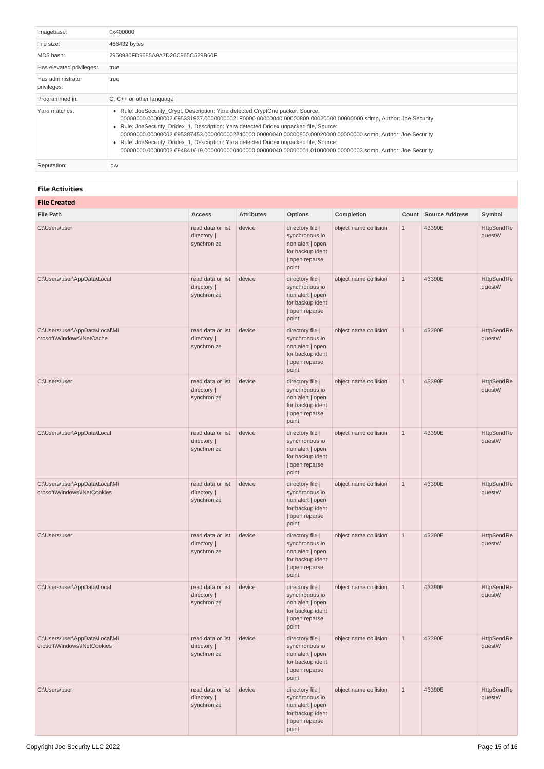<span id="page-14-4"></span><span id="page-14-3"></span><span id="page-14-2"></span>

| Imagebase:                       | 0x400000                                                                                                                                                                                                                                                                                                                                                                                                                                                                                                                                                                                                        |
|----------------------------------|-----------------------------------------------------------------------------------------------------------------------------------------------------------------------------------------------------------------------------------------------------------------------------------------------------------------------------------------------------------------------------------------------------------------------------------------------------------------------------------------------------------------------------------------------------------------------------------------------------------------|
| File size:                       | 466432 bytes                                                                                                                                                                                                                                                                                                                                                                                                                                                                                                                                                                                                    |
| MD5 hash:                        | 2950930FD9685A9A7D26C965C529B60F                                                                                                                                                                                                                                                                                                                                                                                                                                                                                                                                                                                |
| Has elevated privileges:         | true                                                                                                                                                                                                                                                                                                                                                                                                                                                                                                                                                                                                            |
| Has administrator<br>privileges: | true                                                                                                                                                                                                                                                                                                                                                                                                                                                                                                                                                                                                            |
| Programmed in:                   | $C, C++$ or other language                                                                                                                                                                                                                                                                                                                                                                                                                                                                                                                                                                                      |
| Yara matches:                    | • Rule: JoeSecurity Crypt, Description: Yara detected CryptOne packer, Source:<br>00000000.00000002.695331937.00000000021F0000.00000040.00000800.00020000.00000000.sdmp, Author: Joe Security<br>• Rule: JoeSecurity Dridex 1, Description: Yara detected Dridex unpacked file, Source:<br>00000000.00000002.695387453.0000000002240000.00000040.00000800.00020000.00000000.sdmp, Author: Joe Security<br>• Rule: JoeSecurity Dridex 1, Description: Yara detected Dridex unpacked file, Source:<br>00000000.00000002.694841619.0000000000400000.00000040.00000001.01000000.00000003.sdmp, Author: Joe Security |
| Reputation:                      | low                                                                                                                                                                                                                                                                                                                                                                                                                                                                                                                                                                                                             |

#### <span id="page-14-0"></span>**File [Activities](#page-14-5)**

<span id="page-14-6"></span><span id="page-14-5"></span><span id="page-14-1"></span>

| <b>File Created</b>                                           |                                                 |                   |                                                                                                       |                       |              |                       |                             |  |
|---------------------------------------------------------------|-------------------------------------------------|-------------------|-------------------------------------------------------------------------------------------------------|-----------------------|--------------|-----------------------|-----------------------------|--|
| <b>File Path</b>                                              | Access                                          | <b>Attributes</b> | <b>Options</b>                                                                                        | Completion            | Count        | <b>Source Address</b> | Symbol                      |  |
| C:\Users\user                                                 | read data or list<br>directory  <br>synchronize | device            | directory file  <br>synchronous io<br>non alert   open<br>for backup ident<br>  open reparse<br>point | object name collision | $\mathbf{1}$ | 43390E                | <b>HttpSendRe</b><br>questW |  |
| C:\Users\user\AppData\Local                                   | read data or list<br>directory  <br>synchronize | device            | directory file  <br>synchronous io<br>non alert   open<br>for backup ident<br>  open reparse<br>point | object name collision | $\mathbf{1}$ | 43390E                | HttpSendRe<br>questW        |  |
| C:\Users\user\AppData\Local\Mi<br>crosoft\Windows\INetCache   | read data or list<br>directory  <br>synchronize | device            | directory file  <br>synchronous io<br>non alert   open<br>for backup ident<br>  open reparse<br>point | object name collision | $\mathbf 1$  | 43390E                | HttpSendRe<br>questW        |  |
| C:\Users\user                                                 | read data or list<br>directory  <br>synchronize | device            | directory file  <br>synchronous io<br>non alert   open<br>for backup ident<br>  open reparse<br>point | object name collision | $\mathbf{1}$ | 43390E                | HttpSendRe<br>questW        |  |
| C:\Users\user\AppData\Local                                   | read data or list<br>directory  <br>synchronize | device            | directory file  <br>synchronous io<br>non alert   open<br>for backup ident<br>  open reparse<br>point | object name collision | $1\,$        | 43390E                | HttpSendRe<br>questW        |  |
| C:\Users\user\AppData\Local\Mi<br>crosoft\Windows\INetCookies | read data or list<br>directory  <br>synchronize | device            | directory file  <br>synchronous io<br>non alert   open<br>for backup ident<br>  open reparse<br>point | object name collision | $\mathbf{1}$ | 43390E                | HttpSendRe<br>questW        |  |
| C:\Users\user                                                 | read data or list<br>directory  <br>synchronize | device            | directory file  <br>synchronous io<br>non alert   open<br>for backup ident<br>  open reparse<br>point | object name collision | $1\,$        | 43390E                | HttpSendRe<br>questW        |  |
| C:\Users\user\AppData\Local                                   | read data or list<br>directory  <br>synchronize | device            | directory file  <br>synchronous io<br>non alert   open<br>for backup ident<br>  open reparse<br>point | object name collision | $\mathbf{1}$ | 43390E                | HttpSendRe<br>questW        |  |
| C:\Users\user\AppData\Local\Mi<br>crosoft\Windows\INetCookies | read data or list<br>directory  <br>synchronize | device            | directory file  <br>synchronous io<br>non alert   open<br>for backup ident<br>  open reparse<br>point | object name collision | $1\,$        | 43390E                | HttpSendRe<br>questW        |  |
| C:\Users\user                                                 | read data or list<br>directory  <br>synchronize | device            | directory file  <br>synchronous io<br>non alert   open<br>for backup ident<br>  open reparse<br>point | object name collision | $\mathbf{1}$ | 43390E                | HttpSendRe<br>questW        |  |